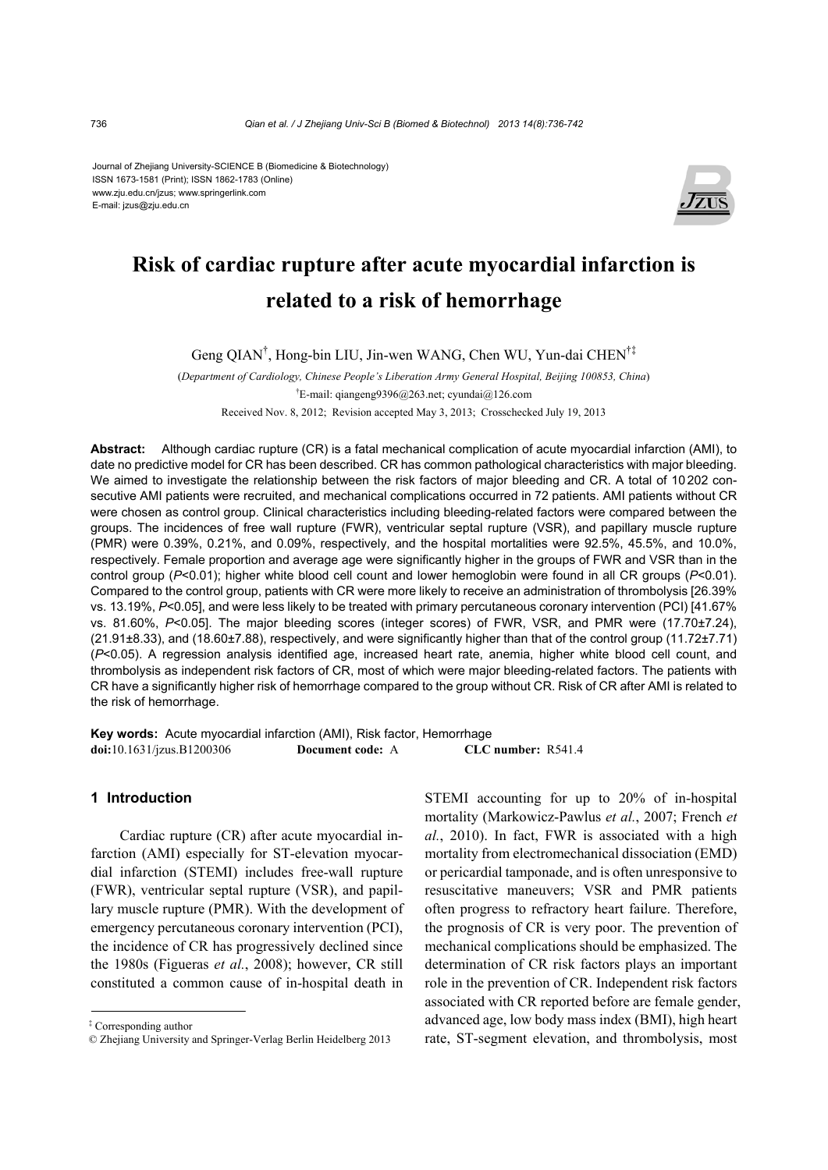Journal of Zhejiang University-SCIENCE B (Biomedicine & Biotechnology) ISSN 1673-1581 (Print); ISSN 1862-1783 (Online) www.zju.edu.cn/jzus; www.springerlink.com E-mail: jzus@zju.edu.cn



# **Risk of cardiac rupture after acute myocardial infarction is related to a risk of hemorrhage**

Geng QIAN† , Hong-bin LIU, Jin-wen WANG, Chen WU, Yun-dai CHEN†‡

(*Department of Cardiology, Chinese People's Liberation Army General Hospital, Beijing 100853, China*) † E-mail: qiangeng9396@263.net; cyundai@126.com Received Nov. 8, 2012; Revision accepted May 3, 2013; Crosschecked July 19, 2013

**Abstract:** Although cardiac rupture (CR) is a fatal mechanical complication of acute myocardial infarction (AMI), to date no predictive model for CR has been described. CR has common pathological characteristics with major bleeding. We aimed to investigate the relationship between the risk factors of maior bleeding and CR. A total of 10 202 consecutive AMI patients were recruited, and mechanical complications occurred in 72 patients. AMI patients without CR were chosen as control group. Clinical characteristics including bleeding-related factors were compared between the groups. The incidences of free wall rupture (FWR), ventricular septal rupture (VSR), and papillary muscle rupture (PMR) were 0.39%, 0.21%, and 0.09%, respectively, and the hospital mortalities were 92.5%, 45.5%, and 10.0%, respectively. Female proportion and average age were significantly higher in the groups of FWR and VSR than in the control group (*P*<0.01); higher white blood cell count and lower hemoglobin were found in all CR groups (*P*<0.01). Compared to the control group, patients with CR were more likely to receive an administration of thrombolysis [26.39% vs. 13.19%, *P*<0.05], and were less likely to be treated with primary percutaneous coronary intervention (PCI) [41.67% vs. 81.60%, *P<*0.05]. The major bleeding scores (integer scores) of FWR, VSR, and PMR were (17.70±7.24), (21.91±8.33), and (18.60±7.88), respectively, and were significantly higher than that of the control group (11.72±7.71) (*P*<0.05). A regression analysis identified age, increased heart rate, anemia, higher white blood cell count, and thrombolysis as independent risk factors of CR, most of which were major bleeding-related factors. The patients with CR have a significantly higher risk of hemorrhage compared to the group without CR. Risk of CR after AMI is related to the risk of hemorrhage.

**Key words:** Acute myocardial infarction (AMI), Risk factor, Hemorrhage **doi:**10.1631/jzus.B1200306 **Document code:** A **CLC number:** R541.4

## **1 Introduction**

Cardiac rupture (CR) after acute myocardial infarction (AMI) especially for ST-elevation myocardial infarction (STEMI) includes free-wall rupture (FWR), ventricular septal rupture (VSR), and papillary muscle rupture (PMR). With the development of emergency percutaneous coronary intervention (PCI), the incidence of CR has progressively declined since the 1980s (Figueras *et al.*, 2008); however, CR still constituted a common cause of in-hospital death in

STEMI accounting for up to 20% of in-hospital mortality (Markowicz-Pawlus *et al.*, 2007; French *et al.*, 2010). In fact, FWR is associated with a high mortality from electromechanical dissociation (EMD) or pericardial tamponade, and is often unresponsive to resuscitative maneuvers; VSR and PMR patients often progress to refractory heart failure. Therefore, the prognosis of CR is very poor. The prevention of mechanical complications should be emphasized. The determination of CR risk factors plays an important role in the prevention of CR. Independent risk factors associated with CR reported before are female gender, advanced age, low body mass index (BMI), high heart rate, ST-segment elevation, and thrombolysis, most

<sup>‡</sup> Corresponding author

<sup>©</sup> Zhejiang University and Springer-Verlag Berlin Heidelberg 2013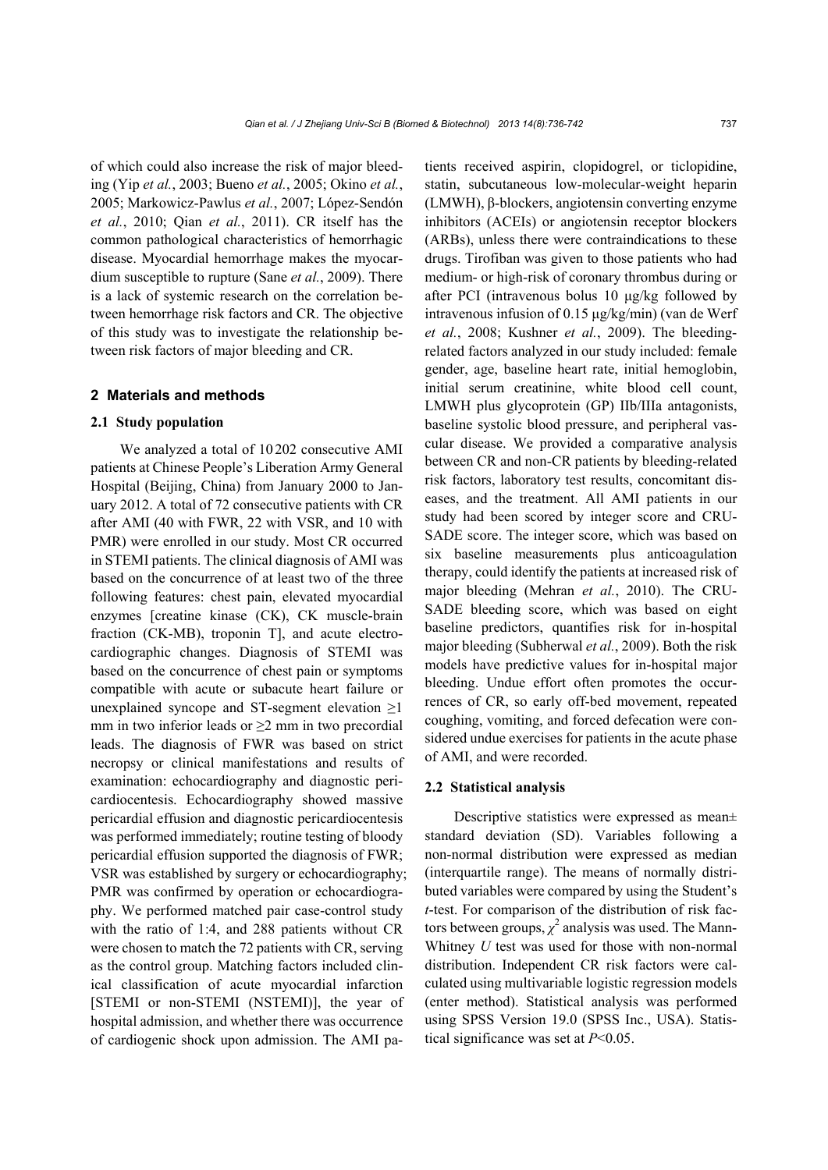of which could also increase the risk of major bleeding (Yip *et al.*, 2003; Bueno *et al.*, 2005; Okino *et al.*, 2005; Markowicz-Pawlus *et al.*, 2007; López-Sendón *et al.*, 2010; Qian *et al.*, 2011). CR itself has the common pathological characteristics of hemorrhagic disease. Myocardial hemorrhage makes the myocardium susceptible to rupture (Sane *et al.*, 2009). There is a lack of systemic research on the correlation between hemorrhage risk factors and CR. The objective of this study was to investigate the relationship between risk factors of major bleeding and CR.

## **2 Materials and methods**

#### **2.1 Study population**

We analyzed a total of 10202 consecutive AMI patients at Chinese People's Liberation Army General Hospital (Beijing, China) from January 2000 to January 2012. A total of 72 consecutive patients with CR after AMI (40 with FWR, 22 with VSR, and 10 with PMR) were enrolled in our study. Most CR occurred in STEMI patients. The clinical diagnosis of AMI was based on the concurrence of at least two of the three following features: chest pain, elevated myocardial enzymes [creatine kinase (CK), CK muscle-brain fraction (CK-MB), troponin T], and acute electrocardiographic changes. Diagnosis of STEMI was based on the concurrence of chest pain or symptoms compatible with acute or subacute heart failure or unexplained syncope and ST-segment elevation  $\geq$ 1 mm in two inferior leads or  $\geq$ 2 mm in two precordial leads. The diagnosis of FWR was based on strict necropsy or clinical manifestations and results of examination: echocardiography and diagnostic pericardiocentesis. Echocardiography showed massive pericardial effusion and diagnostic pericardiocentesis was performed immediately; routine testing of bloody pericardial effusion supported the diagnosis of FWR; VSR was established by surgery or echocardiography; PMR was confirmed by operation or echocardiography. We performed matched pair case-control study with the ratio of 1:4, and 288 patients without CR were chosen to match the 72 patients with CR, serving as the control group. Matching factors included clinical classification of acute myocardial infarction [STEMI or non-STEMI (NSTEMI)], the year of hospital admission, and whether there was occurrence of cardiogenic shock upon admission. The AMI patients received aspirin, clopidogrel, or ticlopidine, statin, subcutaneous low-molecular-weight heparin (LMWH), β-blockers, angiotensin converting enzyme inhibitors (ACEIs) or angiotensin receptor blockers (ARBs), unless there were contraindications to these drugs. Tirofiban was given to those patients who had medium- or high-risk of coronary thrombus during or after PCI (intravenous bolus 10 μg/kg followed by intravenous infusion of 0.15 μg/kg/min) (van de Werf *et al.*, 2008; Kushner *et al.*, 2009). The bleedingrelated factors analyzed in our study included: female gender, age, baseline heart rate, initial hemoglobin, initial serum creatinine, white blood cell count, LMWH plus glycoprotein (GP) IIb/IIIa antagonists, baseline systolic blood pressure, and peripheral vascular disease. We provided a comparative analysis between CR and non-CR patients by bleeding-related risk factors, laboratory test results, concomitant diseases, and the treatment. All AMI patients in our study had been scored by integer score and CRU-SADE score. The integer score, which was based on six baseline measurements plus anticoagulation therapy, could identify the patients at increased risk of major bleeding (Mehran *et al.*, 2010). The CRU-SADE bleeding score, which was based on eight baseline predictors, quantifies risk for in-hospital major bleeding (Subherwal *et al.*, 2009). Both the risk models have predictive values for in-hospital major bleeding. Undue effort often promotes the occurrences of CR, so early off-bed movement, repeated coughing, vomiting, and forced defecation were considered undue exercises for patients in the acute phase of AMI, and were recorded.

## **2.2 Statistical analysis**

Descriptive statistics were expressed as mean± standard deviation (SD). Variables following a non-normal distribution were expressed as median (interquartile range). The means of normally distributed variables were compared by using the Student's *t*-test. For comparison of the distribution of risk factors between groups,  $\chi^2$  analysis was used. The Mann-Whitney *U* test was used for those with non-normal distribution. Independent CR risk factors were calculated using multivariable logistic regression models (enter method). Statistical analysis was performed using SPSS Version 19.0 (SPSS Inc., USA). Statistical significance was set at *P*<0.05.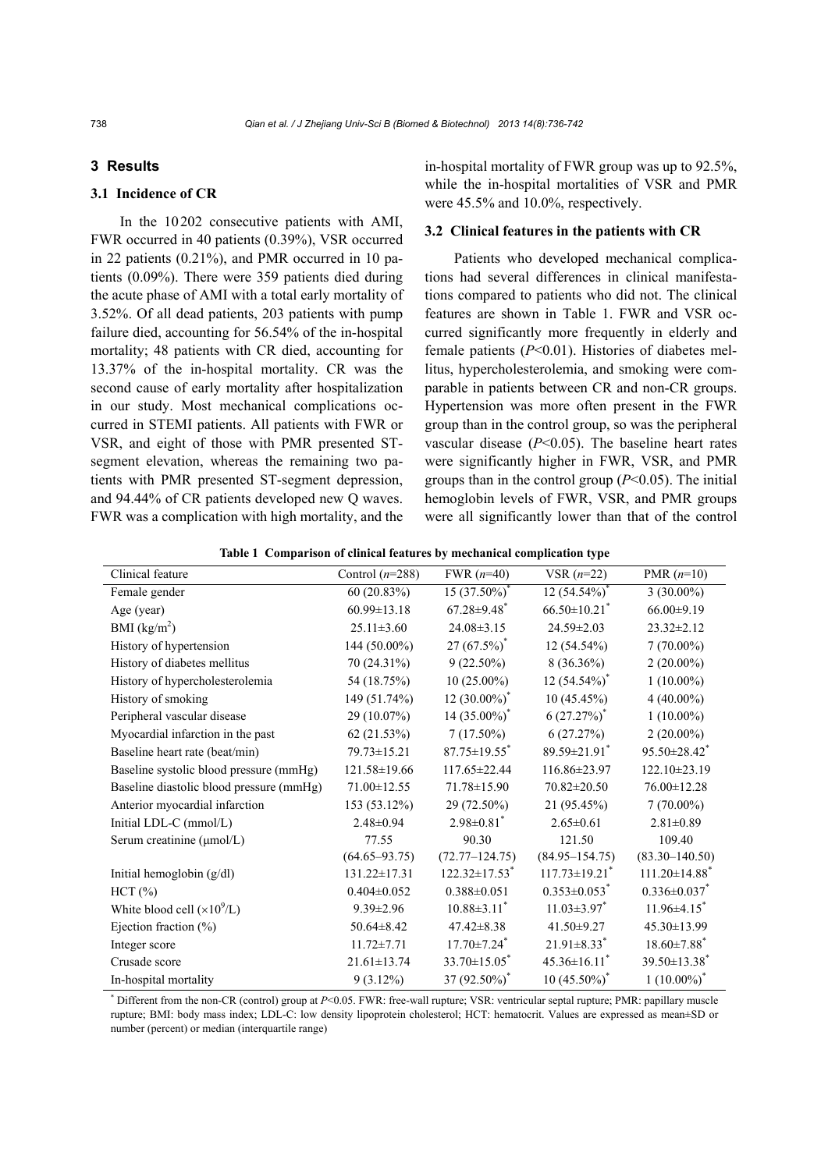## **3 Results**

## **3.1 Incidence of CR**

In the 10202 consecutive patients with AMI, FWR occurred in 40 patients (0.39%), VSR occurred in 22 patients (0.21%), and PMR occurred in 10 patients (0.09%). There were 359 patients died during the acute phase of AMI with a total early mortality of 3.52%. Of all dead patients, 203 patients with pump failure died, accounting for 56.54% of the in-hospital mortality; 48 patients with CR died, accounting for 13.37% of the in-hospital mortality. CR was the second cause of early mortality after hospitalization in our study. Most mechanical complications occurred in STEMI patients. All patients with FWR or VSR, and eight of those with PMR presented STsegment elevation, whereas the remaining two patients with PMR presented ST-segment depression, and 94.44% of CR patients developed new Q waves. FWR was a complication with high mortality, and the in-hospital mortality of FWR group was up to 92.5%, while the in-hospital mortalities of VSR and PMR were 45.5% and 10.0%, respectively.

## **3.2 Clinical features in the patients with CR**

Patients who developed mechanical complications had several differences in clinical manifestations compared to patients who did not. The clinical features are shown in Table 1. FWR and VSR occurred significantly more frequently in elderly and female patients (*P*<0.01). Histories of diabetes mellitus, hypercholesterolemia, and smoking were comparable in patients between CR and non-CR groups. Hypertension was more often present in the FWR group than in the control group, so was the peripheral vascular disease (*P*<0.05). The baseline heart rates were significantly higher in FWR, VSR, and PMR groups than in the control group (*P*<0.05). The initial hemoglobin levels of FWR, VSR, and PMR groups were all significantly lower than that of the control

| Clinical feature                         | Control $(n=288)$ | FWR $(n=40)$                    | $VSR(n=22)$                     | PMR $(n=10)$                    |
|------------------------------------------|-------------------|---------------------------------|---------------------------------|---------------------------------|
| Female gender                            | 60 (20.83%)       | $15(37.50\%)^*$                 | 12 $(54.54\%)^*$                | $3(30.00\%)$                    |
| Age (year)                               | $60.99 \pm 13.18$ | $67.28 \pm 9.48$ <sup>*</sup>   | $66.50 \pm 10.21$ <sup>*</sup>  | $66.00 \pm 9.19$                |
| BMI $(kg/m2)$                            | $25.11 \pm 3.60$  | 24.08±3.15                      | 24.59±2.03                      | 23.32±2.12                      |
| History of hypertension                  | 144 (50.00%)      | $27(67.5\%)^*$                  | $12(54.54\%)$                   | $7(70.00\%)$                    |
| History of diabetes mellitus             | 70 (24.31%)       | $9(22.50\%)$                    | $8(36.36\%)$                    | $2(20.00\%)$                    |
| History of hypercholesterolemia          | 54 (18.75%)       | $10(25.00\%)$                   | 12 $(54.54\%)^*$                | $1(10.00\%)$                    |
| History of smoking                       | 149 (51.74%)      | 12 $(30.00\%)^*$                | 10(45.45%)                      | $4(40.00\%)$                    |
| Peripheral vascular disease              | 29 (10.07%)       | 14 $(35.00\%)^*$                | $6(27.27%)^*$                   | $1(10.00\%)$                    |
| Myocardial infarction in the past        | 62(21.53%)        | $7(17.50\%)$                    | 6(27.27%)                       | $2(20.00\%)$                    |
| Baseline heart rate (beat/min)           | 79.73±15.21       | $87.75 \pm 19.55$ *             | 89.59±21.91*                    | $95.50 \pm 28.42$ *             |
| Baseline systolic blood pressure (mmHg)  | 121.58±19.66      | 117.65±22.44                    | 116.86±23.97                    | 122.10±23.19                    |
| Baseline diastolic blood pressure (mmHg) | $71.00 \pm 12.55$ | 71.78±15.90                     | $70.82 \pm 20.50$               | 76.00±12.28                     |
| Anterior myocardial infarction           | 153 (53.12%)      | 29 (72.50%)                     | 21 (95.45%)                     | $7(70.00\%)$                    |
| Initial LDL-C (mmol/L)                   | $2.48 \pm 0.94$   | $2.98 \pm 0.81$ <sup>*</sup>    | $2.65 \pm 0.61$                 | $2.81 \pm 0.89$                 |
| Serum creatinine (µmol/L)                | 77.55             | 90.30                           | 121.50                          | 109.40                          |
|                                          | $(64.65 - 93.75)$ | $(72.77 - 124.75)$              | $(84.95 - 154.75)$              | $(83.30 - 140.50)$              |
| Initial hemoglobin (g/dl)                | 131.22±17.31      | $122.32 \pm 17.53$ <sup>*</sup> | $117.73 \pm 19.21$ <sup>*</sup> | $111.20 \pm 14.88$ <sup>*</sup> |
| HCT (%)                                  | $0.404 \pm 0.052$ | $0.388 \pm 0.051$               | $0.353 \pm 0.053$ <sup>*</sup>  | $0.336 \pm 0.037$ *             |
| White blood cell $(\times 10^9$ /L)      | $9.39 \pm 2.96$   | $10.88 \pm 3.11$ <sup>*</sup>   | $11.03 \pm 3.97$ *              | $11.96 \pm 4.15$ <sup>*</sup>   |
| Ejection fraction $(\%)$                 | $50.64 \pm 8.42$  | $47.42 \pm 8.38$                | 41.50±9.27                      | 45.30±13.99                     |
| Integer score                            | $11.72 \pm 7.71$  | $17.70 \pm 7.24$ <sup>*</sup>   | $21.91 \pm 8.33$ <sup>*</sup>   | $18.60 \pm 7.88$ <sup>*</sup>   |
| Crusade score                            | $21.61 \pm 13.74$ | $33.70 \pm 15.05$ <sup>*</sup>  | $45.36 \pm 16.11$ <sup>*</sup>  | $39.50 \pm 13.38$ <sup>*</sup>  |
| In-hospital mortality                    | $9(3.12\%)$       | 37 (92.50%)*                    | $10(45.50\%)^*$                 | $1(10.00\%)^*$                  |

**Table 1 Comparison of clinical features by mechanical complication type**

\* Different from the non-CR (control) group at *P*<0.05. FWR: free-wall rupture; VSR: ventricular septal rupture; PMR: papillary muscle rupture; BMI: body mass index; LDL-C: low density lipoprotein cholesterol; HCT: hematocrit. Values are expressed as mean±SD or number (percent) or median (interquartile range)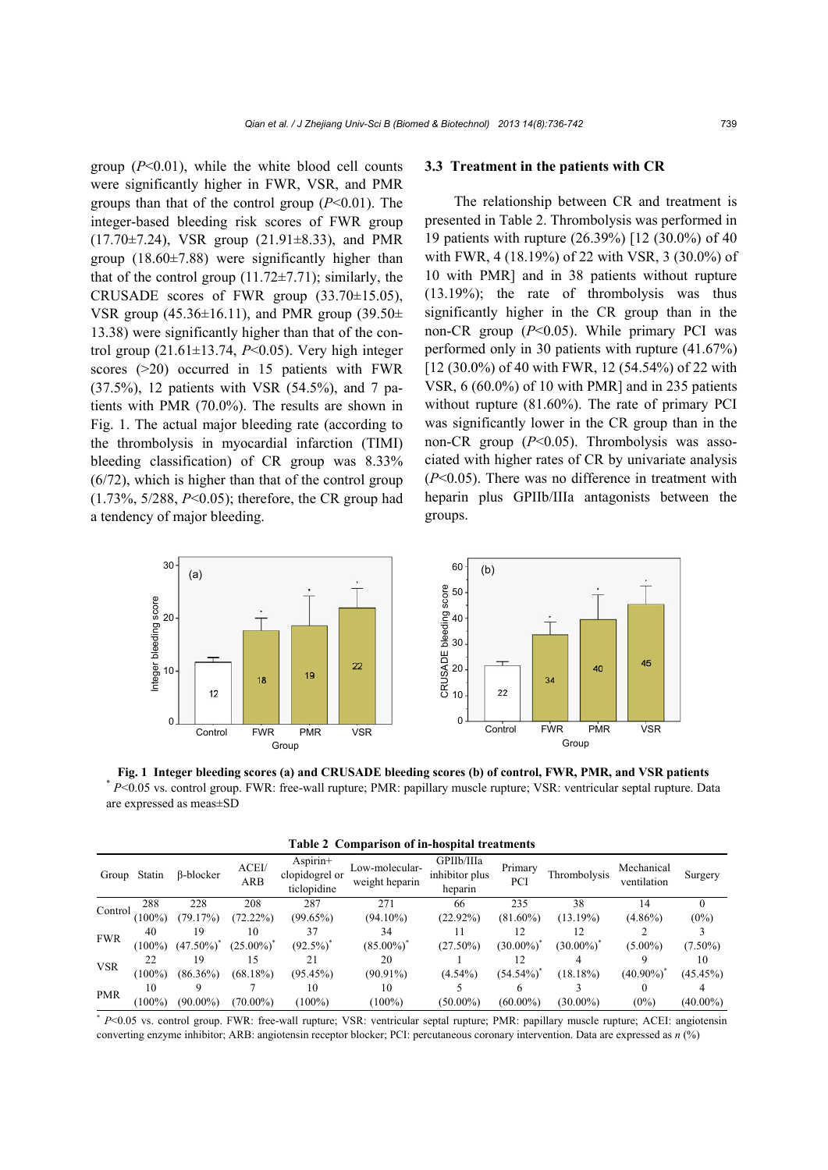group (*P*<0.01), while the white blood cell counts were significantly higher in FWR, VSR, and PMR groups than that of the control group  $(P<0.01)$ . The integer-based bleeding risk scores of FWR group (17.70±7.24), VSR group (21.91±8.33), and PMR group  $(18.60\pm7.88)$  were significantly higher than that of the control group  $(11.72 \pm 7.71)$ ; similarly, the CRUSADE scores of FWR group (33.70±15.05), VSR group (45.36 $\pm$ 16.11), and PMR group (39.50 $\pm$ 13.38) were significantly higher than that of the control group (21.61±13.74, *P*<0.05). Very high integer scores (>20) occurred in 15 patients with FWR (37.5%), 12 patients with VSR (54.5%), and 7 patients with PMR (70.0%). The results are shown in Fig. 1. The actual major bleeding rate (according to the thrombolysis in myocardial infarction (TIMI) bleeding classification) of CR group was 8.33% (6/72), which is higher than that of the control group (1.73%, 5/288, *P*<0.05); therefore, the CR group had a tendency of major bleeding.

## **3.3 Treatment in the patients with CR**

The relationship between CR and treatment is presented in Table 2. Thrombolysis was performed in 19 patients with rupture (26.39%) [12 (30.0%) of 40 with FWR, 4 (18.19%) of 22 with VSR, 3 (30.0%) of 10 with PMR] and in 38 patients without rupture (13.19%); the rate of thrombolysis was thus significantly higher in the CR group than in the non-CR group (*P*<0.05). While primary PCI was performed only in 30 patients with rupture (41.67%) [12 (30.0%) of 40 with FWR, 12 (54.54%) of 22 with VSR, 6 (60.0%) of 10 with PMR] and in 235 patients without rupture (81.60%). The rate of primary PCI was significantly lower in the CR group than in the non-CR group (*P*<0.05). Thrombolysis was associated with higher rates of CR by univariate analysis (*P*<0.05). There was no difference in treatment with heparin plus GPIIb/IIIa antagonists between the groups.



**Fig. 1 Integer bleeding scores (a) and CRUSADE bleeding scores (b) of control, FWR, PMR, and VSR patients** \* *P*<0.05 vs. control group. FWR: free-wall rupture; PMR: papillary muscle rupture; VSR: ventricular septal rupture. Data are expressed as meas±SD

| Table 2 Comparison of in-hospital treatments |
|----------------------------------------------|
|----------------------------------------------|

| Statin    | <b>B-blocker</b> | ACEI/<br><b>ARB</b> | Aspirin+     | Low-molecular-<br>weight heparin | GPIIb/IIIa<br>inhibitor plus | Primary<br>PCI | Thrombolysis  | Mechanical<br>ventilation | Surgery     |
|-----------|------------------|---------------------|--------------|----------------------------------|------------------------------|----------------|---------------|---------------------------|-------------|
| 288       | 228              | 208                 | 287          | 271                              | 66                           | 235            | 38            | 14                        |             |
| $100\%$   | (79.17%)         | $(72.22\%)$         | (99.65%)     | $(94.10\%)$                      | $(22.92\%)$                  | $(81.60\%)$    | (13.19%)      | $(4.86\%)$                | $(0\%)$     |
| 40        | 19               | 10                  | 37           | 34                               |                              | 12             | 12            |                           |             |
| $(100\%)$ | $(47.50\%)^*$    |                     | $(92.5\%)^*$ | $(85.00\%)$                      | $(27.50\%)$                  | $(30.00\%)$    | $(30.00\%)^*$ | $(5.00\%)$                | $(7.50\%)$  |
| 22        | 19               | 15                  | 21           | 20                               |                              | 12             |               |                           | 10          |
| $(100\%)$ | $(86.36\%)$      | (68.18%)            | (95.45%)     | $(90.91\%)$                      | $(4.54\%)$                   | $(54.54\%)$    | $(18.18\%)$   | $(40.90\%)$               | (45.45%)    |
| 10        |                  |                     | 10           | 10                               |                              |                |               |                           |             |
| $(100\%)$ | $(90.00\%)$      | $(70.00\%)$         | $(100\%)$    | $(100\%)$                        | $(50.00\%)$                  | $(60.00\%)$    | $(30.00\%)$   | $(0\%)$                   | $(40.00\%)$ |
| Control   | Group            |                     |              | ticlopidine<br>$(25.00\%)^*$     | clopidogrel or               | heparin        |               |                           |             |

\* *P*<0.05 vs. control group. FWR: free-wall rupture; VSR: ventricular septal rupture; PMR: papillary muscle rupture; ACEI: angiotensin converting enzyme inhibitor; ARB: angiotensin receptor blocker; PCI: percutaneous coronary intervention. Data are expressed as *n* (%)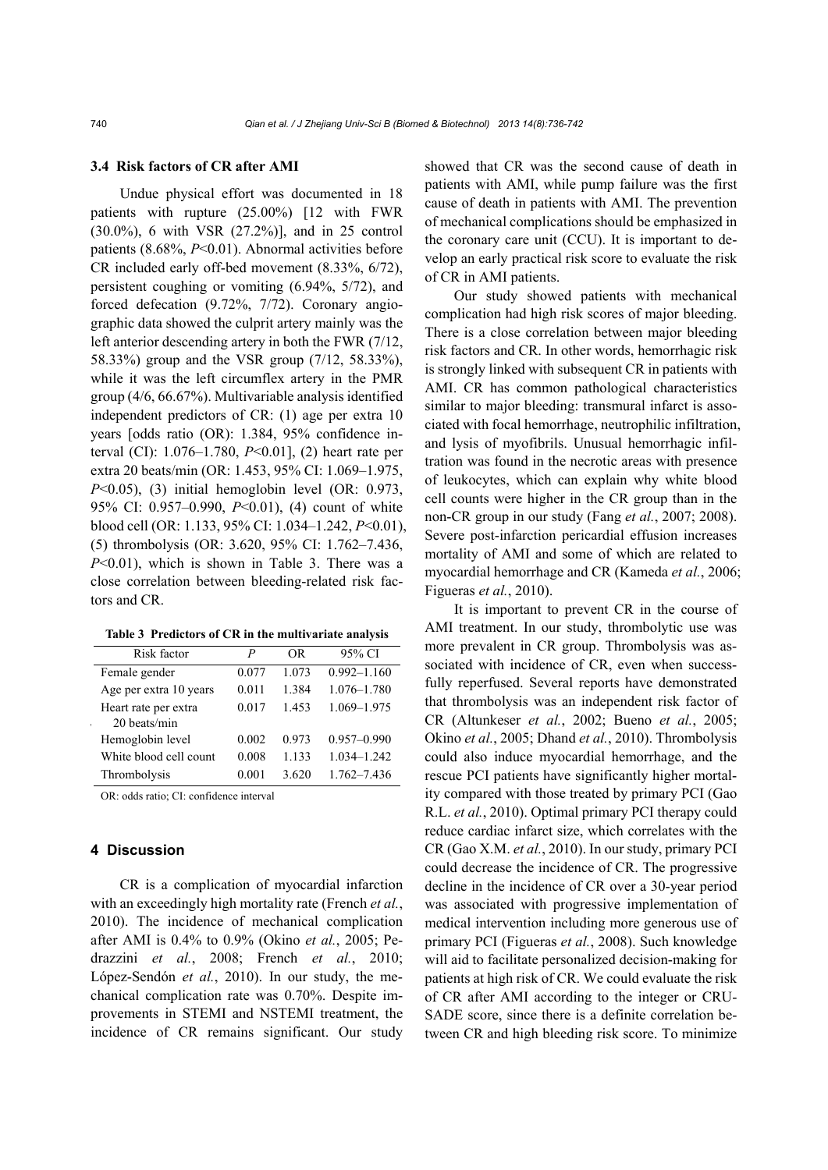## **3.4 Risk factors of CR after AMI**

Undue physical effort was documented in 18 patients with rupture (25.00%) [12 with FWR (30.0%), 6 with VSR (27.2%)], and in 25 control patients (8.68%, *P*<0.01). Abnormal activities before CR included early off-bed movement (8.33%, 6/72), persistent coughing or vomiting (6.94%, 5/72), and forced defecation (9.72%, 7/72). Coronary angiographic data showed the culprit artery mainly was the left anterior descending artery in both the FWR (7/12, 58.33%) group and the VSR group (7/12, 58.33%), while it was the left circumflex artery in the PMR group (4/6, 66.67%). Multivariable analysis identified independent predictors of CR: (1) age per extra 10 years [odds ratio (OR): 1.384, 95% confidence interval (CI): 1.076–1.780, *P*<0.01], (2) heart rate per extra 20 beats/min (OR: 1.453, 95% CI: 1.069–1.975, *P*<0.05), (3) initial hemoglobin level (OR: 0.973, 95% CI: 0.957–0.990, *P*<0.01), (4) count of white blood cell (OR: 1.133, 95% CI: 1.034–1.242, *P*<0.01), (5) thrombolysis (OR: 3.620, 95% CI: 1.762–7.436, *P*<0.01), which is shown in Table 3. There was a close correlation between bleeding-related risk factors and CR.

| Table 3 Predictors of CR in the multivariate analysis |  |  |
|-------------------------------------------------------|--|--|
|                                                       |  |  |

| Risk factor            | P     | OR      | 95% CI          |
|------------------------|-------|---------|-----------------|
| Female gender          | 0.077 | 1.073   | $0.992 - 1.160$ |
| Age per extra 10 years | 0.011 | 1 3 8 4 | 1.076-1.780     |
| Heart rate per extra   | 0.017 | 1.453   | 1.069-1.975     |
| 20 beats/min           |       |         |                 |
| Hemoglobin level       | 0.002 | 0.973   | $0.957 - 0.990$ |
| White blood cell count | 0.008 | 1.133   | 1.034–1.242     |
| Thrombolysis           | 0.001 | 3.620   | $1.762 - 7.436$ |

OR: odds ratio; CI: confidence interval

## **4 Discussion**

CR is a complication of myocardial infarction with an exceedingly high mortality rate (French *et al.*, 2010). The incidence of mechanical complication after AMI is 0.4% to 0.9% (Okino *et al.*, 2005; Pedrazzini *et al.*, 2008; French *et al.*, 2010; López-Sendón *et al.*, 2010). In our study, the mechanical complication rate was 0.70%. Despite improvements in STEMI and NSTEMI treatment, the incidence of CR remains significant. Our study

showed that CR was the second cause of death in patients with AMI, while pump failure was the first cause of death in patients with AMI. The prevention of mechanical complications should be emphasized in the coronary care unit (CCU). It is important to develop an early practical risk score to evaluate the risk of CR in AMI patients.

Our study showed patients with mechanical complication had high risk scores of major bleeding. There is a close correlation between major bleeding risk factors and CR. In other words, hemorrhagic risk is strongly linked with subsequent CR in patients with AMI. CR has common pathological characteristics similar to major bleeding: transmural infarct is associated with focal hemorrhage, neutrophilic infiltration, and lysis of myofibrils. Unusual hemorrhagic infiltration was found in the necrotic areas with presence of leukocytes, which can explain why white blood cell counts were higher in the CR group than in the non-CR group in our study (Fang *et al.*, 2007; 2008). Severe post-infarction pericardial effusion increases mortality of AMI and some of which are related to myocardial hemorrhage and CR (Kameda *et al.*, 2006; Figueras *et al.*, 2010).

It is important to prevent CR in the course of AMI treatment. In our study, thrombolytic use was more prevalent in CR group. Thrombolysis was associated with incidence of CR, even when successfully reperfused. Several reports have demonstrated that thrombolysis was an independent risk factor of CR (Altunkeser *et al.*, 2002; Bueno *et al.*, 2005; Okino *et al.*, 2005; Dhand *et al.*, 2010). Thrombolysis could also induce myocardial hemorrhage, and the rescue PCI patients have significantly higher mortality compared with those treated by primary PCI (Gao R.L. *et al.*, 2010). Optimal primary PCI therapy could reduce cardiac infarct size, which correlates with the CR (Gao X.M. *et al.*, 2010). In our study, primary PCI could decrease the incidence of CR. The progressive decline in the incidence of CR over a 30-year period was associated with progressive implementation of medical intervention including more generous use of primary PCI (Figueras *et al.*, 2008). Such knowledge will aid to facilitate personalized decision-making for patients at high risk of CR. We could evaluate the risk of CR after AMI according to the integer or CRU-SADE score, since there is a definite correlation between CR and high bleeding risk score. To minimize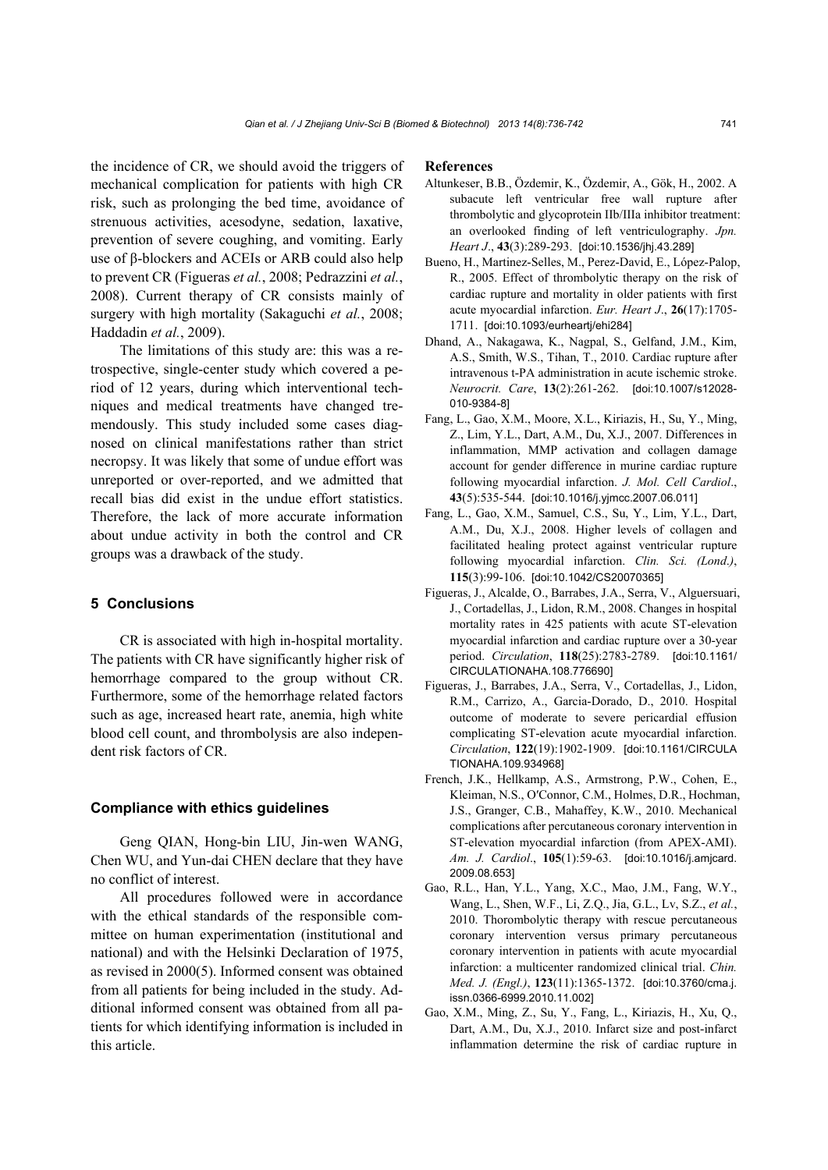the incidence of CR, we should avoid the triggers of mechanical complication for patients with high CR risk, such as prolonging the bed time, avoidance of strenuous activities, acesodyne, sedation, laxative, prevention of severe coughing, and vomiting. Early use of β-blockers and ACEIs or ARB could also help to prevent CR (Figueras *et al.*, 2008; Pedrazzini *et al.*, 2008). Current therapy of CR consists mainly of surgery with high mortality (Sakaguchi *et al.*, 2008; Haddadin *et al.*, 2009).

The limitations of this study are: this was a retrospective, single-center study which covered a period of 12 years, during which interventional techniques and medical treatments have changed tremendously. This study included some cases diagnosed on clinical manifestations rather than strict necropsy. It was likely that some of undue effort was unreported or over-reported, and we admitted that recall bias did exist in the undue effort statistics. Therefore, the lack of more accurate information about undue activity in both the control and CR groups was a drawback of the study.

## **5 Conclusions**

CR is associated with high in-hospital mortality. The patients with CR have significantly higher risk of hemorrhage compared to the group without CR. Furthermore, some of the hemorrhage related factors such as age, increased heart rate, anemia, high white blood cell count, and thrombolysis are also independent risk factors of CR.

### **Compliance with ethics guidelines**

Geng QIAN, Hong-bin LIU, Jin-wen WANG, Chen WU, and Yun-dai CHEN declare that they have no conflict of interest.

All procedures followed were in accordance with the ethical standards of the responsible committee on human experimentation (institutional and national) and with the Helsinki Declaration of 1975, as revised in 2000(5). Informed consent was obtained from all patients for being included in the study. Additional informed consent was obtained from all patients for which identifying information is included in this article.

#### **References**

- Altunkeser, B.B., Özdemir, K., Özdemir, A., Gök, H., 2002. A subacute left ventricular free wall rupture after thrombolytic and glycoprotein IIb/IIIa inhibitor treatment: an overlooked finding of left ventriculography. *Jpn. Heart J*., **43**(3):289-293. [doi:10.1536/jhj.43.289]
- Bueno, H., Martinez-Selles, M., Perez-David, E., López-Palop, R., 2005. Effect of thrombolytic therapy on the risk of cardiac rupture and mortality in older patients with first acute myocardial infarction. *Eur. Heart J*., **26**(17):1705- 1711. [doi:10.1093/eurheartj/ehi284]
- Dhand, A., Nakagawa, K., Nagpal, S., Gelfand, J.M., Kim, A.S., Smith, W.S., Tihan, T., 2010. Cardiac rupture after intravenous t-PA administration in acute ischemic stroke. *Neurocrit. Care*, **13**(2):261-262. [doi:10.1007/s12028- 010-9384-8]
- Fang, L., Gao, X.M., Moore, X.L., Kiriazis, H., Su, Y., Ming, Z., Lim, Y.L., Dart, A.M., Du, X.J., 2007. Differences in inflammation, MMP activation and collagen damage account for gender difference in murine cardiac rupture following myocardial infarction. *J. Mol. Cell Cardiol*., **43**(5):535-544. [doi:10.1016/j.yjmcc.2007.06.011]
- Fang, L., Gao, X.M., Samuel, C.S., Su, Y., Lim, Y.L., Dart, A.M., Du, X.J., 2008. Higher levels of collagen and facilitated healing protect against ventricular rupture following myocardial infarction. *Clin. Sci. (Lond*.*)*, **115**(3):99-106. [doi:10.1042/CS20070365]
- Figueras, J., Alcalde, O., Barrabes, J.A., Serra, V., Alguersuari, J., Cortadellas, J., Lidon, R.M., 2008. Changes in hospital mortality rates in 425 patients with acute ST-elevation myocardial infarction and cardiac rupture over a 30-year period. *Circulation*, **118**(25):2783-2789. [doi:10.1161/ CIRCULATIONAHA.108.776690]
- Figueras, J., Barrabes, J.A., Serra, V., Cortadellas, J., Lidon, R.M., Carrizo, A., Garcia-Dorado, D., 2010. Hospital outcome of moderate to severe pericardial effusion complicating ST-elevation acute myocardial infarction. *Circulation*, **122**(19):1902-1909. [doi:10.1161/CIRCULA TIONAHA.109.934968]
- French, J.K., Hellkamp, A.S., Armstrong, P.W., Cohen, E., Kleiman, N.S., O′Connor, C.M., Holmes, D.R., Hochman, J.S., Granger, C.B., Mahaffey, K.W., 2010. Mechanical complications after percutaneous coronary intervention in ST-elevation myocardial infarction (from APEX-AMI). *Am. J. Cardiol*., **105**(1):59-63. [doi:10.1016/j.amjcard. 2009.08.653]
- Gao, R.L., Han, Y.L., Yang, X.C., Mao, J.M., Fang, W.Y., Wang, L., Shen, W.F., Li, Z.Q., Jia, G.L., Lv, S.Z., *et al.*, 2010. Thorombolytic therapy with rescue percutaneous coronary intervention versus primary percutaneous coronary intervention in patients with acute myocardial infarction: a multicenter randomized clinical trial. *Chin. Med. J. (Engl.)*, **123**(11):1365-1372. [doi:10.3760/cma.j. issn.0366-6999.2010.11.002]
- Gao, X.M., Ming, Z., Su, Y., Fang, L., Kiriazis, H., Xu, Q., Dart, A.M., Du, X.J., 2010. Infarct size and post-infarct inflammation determine the risk of cardiac rupture in